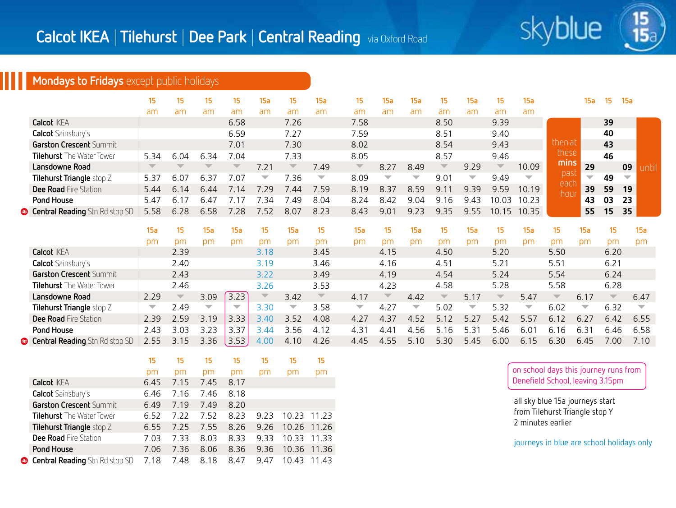

15

## **Mondays to Fridays** except public holidays

|                                       |                         | 15                      | 15.                      |                          | 15a  | 15                       | l5a                      | 15                       | 15a                      | 15a  | כו                      | 15а                      | 15                      | 15a                      |              | 15a                      | 15 | -15a                     |      |
|---------------------------------------|-------------------------|-------------------------|--------------------------|--------------------------|------|--------------------------|--------------------------|--------------------------|--------------------------|------|-------------------------|--------------------------|-------------------------|--------------------------|--------------|--------------------------|----|--------------------------|------|
|                                       | am                      | am                      | am                       | am                       | am   | am                       | am                       | am                       | am                       | am   | am                      | am                       | am                      | am                       |              |                          |    |                          |      |
| <b>Calcot IKEA</b>                    |                         |                         |                          | 6.58                     |      | 7.26                     |                          | 7.58                     |                          |      | 8.50                    |                          | 9.39                    |                          |              |                          | 39 |                          |      |
| <b>Calcot</b> Sainsbury's             |                         |                         |                          | 6.59                     |      | 7.27                     |                          | 7.59                     |                          |      | 8.51                    |                          | 9.40                    |                          |              |                          | 40 |                          |      |
| <b>Garston Crescent Summit</b>        |                         |                         |                          | 7.01                     |      | 7.30                     |                          | 8.02                     |                          |      | 8.54                    |                          | 9.43                    |                          | then at      |                          | 43 |                          |      |
| <b>Tilehurst</b> The Water Tower      | 5.34                    | 6.04                    | 634                      | 7.04                     |      | 7.33                     |                          | 8.05                     |                          |      | 8.57                    |                          | 9.46                    |                          | these        |                          | 46 |                          |      |
| Lansdowne Road                        | $\overline{\mathbb{V}}$ | $\overline{\mathbb{V}}$ | $\overline{\phantom{a}}$ | $\overline{\phantom{a}}$ | 7.21 | $\overline{\phantom{a}}$ | 7.49                     | $\overline{\phantom{a}}$ | 8.27                     | 8.49 | $\overline{\mathbb{V}}$ | 9.29                     | $\overline{\mathbb{V}}$ | 10.09                    | mins         | 29                       |    | 09                       | ınti |
| Tilehurst Triangle stop Z             | 5.37                    | 6.07                    | 6.31                     | 7.07                     | ▼    | 7.36                     | $\overline{\phantom{a}}$ | 8.09                     | $\overline{\phantom{a}}$ | ▼    | 9.01                    | $\overline{\phantom{a}}$ | 9.49                    | $\overline{\phantom{0}}$ | pasi         | $\overline{\phantom{0}}$ | 49 | $\overline{\phantom{a}}$ |      |
| <b>Dee Road</b> Fire Station          | 5.44                    | 6.14                    | 6.44                     | 14                       | 29   | 7.44                     | 7.59                     | 8.19                     | 8.37                     | 8.59 |                         | 939                      | 9.59                    | 10.19                    | each<br>hour | 39                       | 59 | 19                       |      |
| Pond House                            | 5.47                    | 6.17                    | 6.47                     |                          | 34   | '49                      | 8.04                     | 8.24                     | 8.42                     | 9.04 | 9.16                    | 943                      | 10.03                   | 10.23                    |              | 43                       | 03 | 23                       |      |
| <b>Central Reading</b> Stn Rd stop SD | 5.58                    | 6.28                    | 6.58                     |                          | .52  | 8.07                     | 8.23                     | 8.43                     | 9.01                     | 9 23 | 9.35                    | 9.55                     | 10.15                   | 10.35                    |              | 55                       | 15 | 35                       |      |

|                                       | 15a  | 15                       | 15a                      | 15a                      | 15                       | 5а                       | 15                      | 15a                      |                          | 15a                      | 15                      | l5a          | 15                      | 15а  | 15                      | 15a                      |                         | 15a  |
|---------------------------------------|------|--------------------------|--------------------------|--------------------------|--------------------------|--------------------------|-------------------------|--------------------------|--------------------------|--------------------------|-------------------------|--------------|-------------------------|------|-------------------------|--------------------------|-------------------------|------|
|                                       | рm   | pm                       | рm                       | рm                       | рm                       | рm                       | рm                      | рm                       | рm                       | pm                       | рm                      | pm           | pπ                      | рm   |                         | pm                       | pm                      | pm   |
| <b>Calcot IKEA</b>                    |      | 2.39                     |                          |                          | 3.18                     |                          | 3.45                    |                          | 4.15                     |                          | 4.50                    |              | 5.20                    |      | 5.50                    |                          | 6.20                    |      |
| <b>Calcot</b> Sainsbury's             |      | 2.40                     |                          |                          | 3.19                     |                          | 3.46                    |                          | 4.16                     |                          | 4.51                    |              | 5.21                    |      | 5.51                    |                          | 6.21                    |      |
| Garston Crescent Summit               |      | 2.43                     |                          |                          | 3.22                     |                          | 3.49                    |                          | 4.19                     |                          | 4.54                    |              | 5.24                    |      | 5.54                    |                          | 6.24                    |      |
| <b>Tilehurst</b> The Water Tower      |      | 2.46                     |                          |                          | 3.26                     |                          | 3.53                    |                          | 4.23                     |                          | 4.58                    |              | 5.28                    |      | 5.58                    |                          | 6.28                    |      |
| Lansdowne Road                        | 2.29 | $\overline{\phantom{a}}$ | 3.09                     | 3.23                     | $\overline{\phantom{a}}$ | 3.42                     | $\overline{\mathbb{V}}$ | 4.17                     | $\overline{\phantom{a}}$ | 4.42                     | $\overline{\mathbb{V}}$ | 5.17         | $\overline{\mathbb{V}}$ | 5.47 | $\overline{\mathbb{V}}$ | 6.17                     | $\overline{\mathbf{v}}$ | 6.47 |
| Tilehurst Triangle stop Z             | ▼    | 2.49                     | $\overline{\phantom{0}}$ | $\overline{\phantom{a}}$ | 3.30                     | $\overline{\phantom{a}}$ | 3.58                    | $\overline{\phantom{a}}$ | 4.27                     | $\overline{\phantom{a}}$ | 5.02                    |              | 5.32                    | ▼    | 6.02                    | $\overline{\phantom{a}}$ | 6.32                    |      |
| Dee Road Fire Station                 | 2.39 | 2.59                     | 3.19                     | .33<br>3.                | 3 40                     | 3.52                     | 4.08                    | 4.27                     | 4.37                     | 4.52                     | 5 1 2                   | 5.27         | 5.42                    | 5.57 | 6.12                    | 6.27                     | 6.42                    | 6.55 |
| Pond House                            | 2.43 | 3.03                     | 3.23                     |                          | .44                      | 3.56                     | 4.12                    | 4.3'                     | 44                       | 4.56                     | 5.16                    | $\mathbf{R}$ | 5.46                    | 6.01 | 6.16                    | 6.3'                     | 6.46                    | 6.58 |
| <b>Central Reading</b> Stn Rd stop SD | 2.55 | 3.15                     | 3.36                     | 3.53                     | 4.00                     | 4.10                     | 4.26                    | 4.45                     | 455                      | 5.10                     | 5.30                    | 5.45         | 6.00                    | 6.15 | 6.30                    | 6.45                     | 7.00                    | 7.10 |

|                                       | 15   | 15   | 15   | 15   | 15   | 15    | 15    |
|---------------------------------------|------|------|------|------|------|-------|-------|
|                                       | pm   | pm   | pm   | pm   | pm   | pm    | pm    |
| <b>Calcot IKEA</b>                    | 6.45 | 7.15 | 7.45 | 8.17 |      |       |       |
| <b>Calcot</b> Sainsbury's             | 6.46 | 7.16 | 7.46 | 8.18 |      |       |       |
| Garston Crescent Summit               | 6.49 | 7 19 | 749  | 8.20 |      |       |       |
| <b>Tilehurst</b> The Water Tower      | 652  | 7 22 | 752  | 8.23 | 923  | 10.23 | 11 23 |
| Tilehurst Triangle stop Z             | 6.55 | 7.25 | 7.55 | 8.26 | 9.26 | 10.26 | 11 26 |
| <b>Dee Road</b> Fire Station          | 7 03 | 7 33 | 8.03 | 8.33 | 9.33 | 10.33 | 11.33 |
| Pond House                            | 7.06 | 7 36 | 8.06 | 8.36 | 9.36 | 10.36 | 11 36 |
| <b>Central Reading</b> Stn Rd stop SD | 7.18 | 7.48 | 8.18 | 8.47 | 9.47 | 10.43 | 11 43 |

on school days this journey runs from Denefield School, leaving 3.15pm

all sky blue 15a journeys start from Tilehurst Triangle stop Y 2 minutes earlier

journeys in blue are school holidays only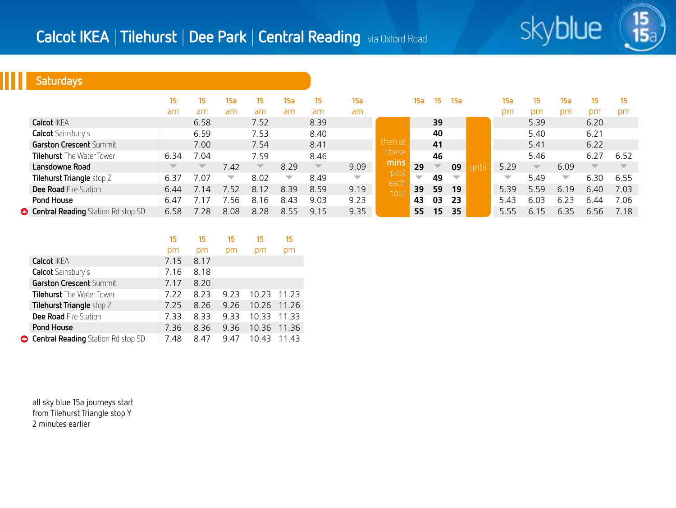

15

## **Saturdays**

|                                    | 15                      | 15.                      | 15a                      | 15.                     | 15a  | 15                      | 15a                      |             | 15a                      | 15                       | 15a                      | 15a                      | 15                      | 15a  | 15                      | 15   |
|------------------------------------|-------------------------|--------------------------|--------------------------|-------------------------|------|-------------------------|--------------------------|-------------|--------------------------|--------------------------|--------------------------|--------------------------|-------------------------|------|-------------------------|------|
|                                    | am                      | am                       | am                       | am                      | am   | am                      | am                       |             |                          |                          |                          | pm                       | pm                      | pm   | pm                      | pm   |
| <b>Calcot IKEA</b>                 |                         | 6.58                     |                          | 7.52                    |      | 8.39                    |                          |             |                          | 39                       |                          |                          | 5.39                    |      | 6.20                    |      |
| <b>Calcot</b> Sainsbury's          |                         | 6.59                     |                          | 7.53                    |      | 8.40                    |                          |             |                          | 40                       |                          |                          | 5.40                    |      | 6.21                    |      |
| <b>Garston Crescent Summit</b>     |                         | 7.00                     |                          | 7.54                    |      | 8.41                    |                          | then at     |                          | 41                       |                          |                          | 5.41                    |      | 6.22                    |      |
| <b>Tilehurst</b> The Water Tower   | 6.34                    | 7.04                     |                          | 7.59                    |      | 8.46                    |                          | these       |                          | 46                       |                          |                          | 5.46                    |      | 6.27                    | 6.52 |
| Lansdowne Road                     | $\overline{\mathbb{V}}$ | $\overline{\phantom{a}}$ | 7.42                     | $\overline{\mathbb{V}}$ | 8.29 | $\overline{\mathbb{V}}$ | 9.09                     | mins        | 29                       | $\overline{\phantom{a}}$ | 09                       | 5.29                     | $\overline{\mathbb{V}}$ | 6.09 | $\overline{\mathbb{V}}$ |      |
| Tilehurst Triangle stop Z          | 6.37                    | 7.07                     | $\overline{\phantom{a}}$ | 8.02                    | ▼    | 8.49                    | $\overline{\phantom{0}}$ | past        | $\overline{\phantom{a}}$ | 49                       | $\overline{\phantom{a}}$ | $\overline{\phantom{a}}$ | 5.49                    | ▼    | 6.30                    | 6.55 |
| Dee Road Fire Station              | 6.44                    | .14                      | 7.52                     | 8.12                    | 8.39 | 8.59                    | 9.19                     | each<br>hou | 39                       | 59                       | 19                       | 5.39                     | 5.59                    | 6.19 | 6.40                    | 7.03 |
| Pond House                         | 6.47                    |                          | .56                      | 8.<br>16                | 8.43 | 9.03                    | 9.23                     |             | 43                       | 03                       | 23                       | 5.43                     | 6.03                    | 6.23 | 6.44                    | 7.06 |
| Central Reading Station Rd stop SD | 6.58                    | 78                       | 8.08                     | 8.28                    | 8.55 | 9.15                    | 9.35                     |             | 55                       | 15                       | 35                       | 5.55                     | 6.15                    | 6.35 | 6.56                    | 7.18 |

|                                           | 15   | 15   | 15   | 15    | 15    |
|-------------------------------------------|------|------|------|-------|-------|
|                                           | pm   | pm   | рm   | pm    | рm    |
| <b>Calcot IKEA</b>                        | 7.15 | 8.17 |      |       |       |
| <b>Calcot</b> Sainsbury's                 | 7.16 | 8.18 |      |       |       |
| Garston Crescent Summit                   | 7.17 | 8.20 |      |       |       |
| <b>Tilehurst</b> The Water Tower          | 7.22 | 8.23 | 9 23 | 10.23 | 11 23 |
| Tilehurst Triangle stop Z                 | 7.25 | 8.26 | 9.26 | 10.26 | 11.26 |
| <b>Dee Road</b> Fire Station              | 7.33 | 8.33 | 9.33 | 10.33 | 11.33 |
| Pond House                                | 7.36 | 8.36 | 9.36 | 10.36 | 11.36 |
| <b>Central Reading</b> Station Rd stop SD | 7.48 | 8.47 | 9.47 | 10.43 | 11 43 |

all sky blue 15a journeys start from Tilehurst Triangle stop Y 2 minutes earlier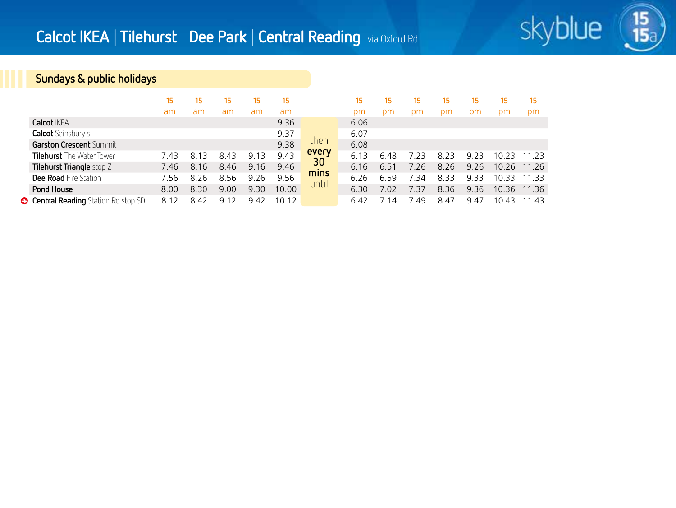

 $\frac{15}{15}$ 

## **Sundays & public holidays**

|                                           | 15   | 15       | 15                  | 15   | 15    |       | 15   | 15    | 15   | 15    | 15   | 15    | 15    |
|-------------------------------------------|------|----------|---------------------|------|-------|-------|------|-------|------|-------|------|-------|-------|
|                                           | am   | am       | am                  | am   | am    |       | рm   | pm    | рm   | pm    | рm   | рm    | pm    |
| <b>Calcot IKFA</b>                        |      |          |                     |      | 9.36  |       | 6.06 |       |      |       |      |       |       |
| <b>Calcot</b> Sainsbury's                 |      |          |                     |      | 9.37  |       | 6.07 |       |      |       |      |       |       |
| Garston Crescent Summit                   |      |          |                     |      | 9.38  | then  | 6.08 |       |      |       |      |       |       |
| <b>Tilehurst</b> The Water Tower          | 7.43 | 3<br>8.1 | 8.43                | 9.13 | 9.43  | every | 6.13 | 6.48  | 7 23 | 823   | 923  | 10.23 | 11 23 |
| Tilehurst Triangle stop Z                 | 7.46 | 8.16     | 8.46                | 9.16 | 9.46  | 30    | 6.16 | 651   | 7 26 | 8 2 6 | 9.26 | 10.26 | 11 26 |
| <b>Dee Road Fire Station</b>              | 756  | 8.26     | 8.56                | 9.26 | 9.56  | mins  | 6.26 | 6.59  | 7 34 | 8.33  | 933  | 1033  | 11 33 |
| Pond House                                | 8.00 | 8.30     | 9.00                | 9.30 | 10.00 | until | 6.30 | 7.02  | 7.37 | 8.36  | 9.36 | 10.36 | 11 36 |
| <b>Central Reading</b> Station Rd stop SD | 8.12 | 842      | $\mathcal{D}$<br>91 | 942  | 10.12 |       | 6.42 | 7 1 4 | 749  | 847   | 9.47 | 10.43 | 11 43 |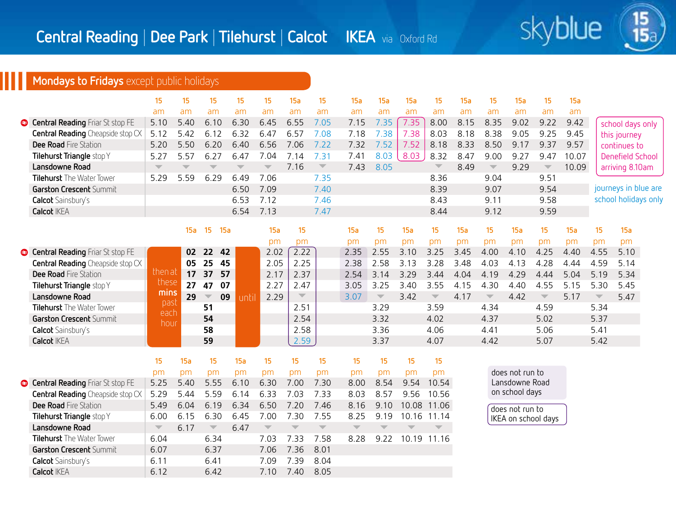

 $\frac{15}{15}$ 

## **Mondays to Fridays** except public holidays

**Calcot** Sainsbury's **6.11** 6.41 7.09 7.39 8.04 **Calcot IKEA** 6.12 6.42 7.10 7.40 8.05

|                                          | 15                      | 15                       | 15                            | 15                      | 15                       | 15a                      | 15                       | 15a                     | 15a                      | 15a                      | 15                       | 15a  | 15                       | 15a             | 15                       | 15a   |                          |                      |  |
|------------------------------------------|-------------------------|--------------------------|-------------------------------|-------------------------|--------------------------|--------------------------|--------------------------|-------------------------|--------------------------|--------------------------|--------------------------|------|--------------------------|-----------------|--------------------------|-------|--------------------------|----------------------|--|
|                                          | am                      | am                       | am                            | am                      | am                       | am                       | am                       | am                      | am                       | am                       | am                       | am   | am                       | am              | am                       | am    |                          |                      |  |
| Central Reading Friar St stop FE         | 5.10                    | 5.40                     | 6.10                          | 6.30                    | 6.45                     | 6.55                     | 7.05                     | 7.15                    | 7.35                     | 7.35                     | 8.00                     | 8.15 | 8.35                     | 9.02            | 9.22                     | 9.42  |                          | school days only     |  |
| <b>Central Reading</b> Cheapside stop CX | 5.12                    | 5.42                     | 6.12                          | 6.32                    | 6.47                     | 6.57                     | 7.08                     | 7.18                    | 7.38                     | 7.38                     | 8.03                     | 8.18 | 8.38                     | 9.05            | 9.25                     | 9.45  |                          | this journey         |  |
| Dee Road Fire Station                    | 5.20                    | 5.50                     | 6.20                          | 6.40                    | 6.56                     | 7.06                     | 7.22                     | 7.32                    | 7.52                     | 7.52                     | 8.18                     | 8.33 | 8.50                     | 9.17            | 9.37                     | 9.57  |                          | continues to         |  |
| Tilehurst Triangle stop Y                | 5.27                    | 5.57                     | 6.27                          | 6.47                    | 7.04                     | 7.14                     | 7.31                     | 7.41                    | 8.03                     | 8.03                     | 8.32                     | 8.47 | 9.00                     | 9.27            | 9.47                     | 10.07 |                          | Denefield School     |  |
| Lansdowne Road                           | $\overline{\mathbf{v}}$ | $\overline{\phantom{a}}$ | $\overline{\phantom{a}}$      | $\overline{\mathbf{v}}$ | $\overline{\phantom{a}}$ | 7.16                     | $\overline{\mathcal{M}}$ | 7.43                    | 8.05                     |                          | $\overline{\mathbb{V}}$  | 8.49 | $\overline{\phantom{a}}$ | 9.29            | $\overline{\mathcal{M}}$ | 10.09 |                          | arriving 8.10am      |  |
| Tilehurst The Water Tower                | 5.29                    | 5.59                     | 6.29                          | 6.49                    | 7.06                     |                          | 7.35                     |                         |                          |                          | 8.36                     |      | 9.04                     |                 | 9.51                     |       |                          |                      |  |
| <b>Garston Crescent Summit</b>           |                         |                          |                               | 6.50                    | 7.09                     |                          | 7.40                     |                         |                          |                          | 8.39                     |      | 9.07                     |                 | 9.54                     |       |                          | journeys in blue are |  |
| <b>Calcot</b> Sainsbury's                |                         |                          |                               | 6.53                    | 7.12                     |                          | 7.46                     |                         |                          |                          | 8.43                     |      | 9.11                     |                 | 9.58                     |       |                          | school holidays only |  |
| <b>Calcot IKEA</b>                       |                         |                          |                               | 6.54                    | 7.13                     |                          | 7.47                     |                         |                          |                          | 8.44                     |      | 9.12                     |                 | 9.59                     |       |                          |                      |  |
|                                          |                         |                          |                               |                         |                          |                          |                          |                         |                          |                          |                          |      |                          |                 |                          |       |                          |                      |  |
|                                          |                         | 15a                      | 15<br>15a                     |                         | 15a                      | 15                       |                          | 15a                     | 15                       | 15a                      | 15                       | 15a  | 15                       | 15a             | 15                       | 15a   | 15                       | 15a                  |  |
|                                          |                         |                          |                               |                         | pm                       | pm                       |                          | pm                      | pm                       | pm                       | pm                       | pm   | pm                       | pm              | pm                       | pm    | pm                       | pm                   |  |
| Central Reading Friar St stop FE         |                         | 02                       | 42<br>22                      |                         | 2.02                     | 2.22                     |                          | 2.35                    | 2.55                     | 3.10                     | 3.25                     | 3.45 | 4.00                     | 4.10            | 4.25                     | 4.40  | 4.55                     | 5.10                 |  |
| <b>Central Reading</b> Cheapside stop CX |                         | 05                       | 25<br>45                      |                         | 2.05                     | 2.25                     |                          | 2.38                    | 2.58                     | 3.13                     | 3.28                     | 3.48 | 4.03                     | 4.13            | 4.28                     | 4.44  | 4.59                     | 5.14                 |  |
| Dee Road Fire Station                    | then at                 | 17                       | 37<br>57                      |                         | 2.17                     | 2.37                     |                          | 2.54                    | 3.14                     | 3.29                     | 3.44                     | 4.04 | 4.19                     | 4.29            | 4.44                     | 5.04  | 5.19                     | 5.34                 |  |
| Tilehurst Triangle stop Y                | these                   | 27                       | 07<br>47                      |                         | 2.27                     | 2.47                     |                          | 3.05                    | 3.25                     | 3.40                     | 3.55                     | 4.15 | 4.30                     | 4.40            | 4.55                     | 5.15  | 5.30                     | 5.45                 |  |
| Lansdowne Road                           | mins                    | 29                       | 09<br>$\overline{\mathbb{V}}$ | until                   | 2.29                     | $\overline{\phantom{a}}$ |                          | 3.07                    | $\overline{\phantom{a}}$ | 3.42                     | $\overline{\phantom{m}}$ | 4.17 | $\overline{\phantom{a}}$ | 4.42            | $\overline{\phantom{a}}$ | 5.17  | $\overline{\phantom{a}}$ | 5.47                 |  |
| <b>Tilehurst</b> The Water Tower         | past<br>each            |                          | 51                            |                         |                          | 2.51                     |                          |                         | 3.29                     |                          | 3.59                     |      | 4.34                     |                 | 4.59                     |       | 5.34                     |                      |  |
| Garston Crescent Summit                  | hour                    |                          | 54                            |                         |                          | 2.54                     |                          |                         | 3.32                     |                          | 4.02                     |      | 4.37                     |                 | 5.02                     |       | 5.37                     |                      |  |
| Calcot Sainsbury's                       |                         |                          | 58                            |                         |                          | 2.58                     |                          |                         | 3.36                     |                          | 4.06                     |      | 4.41                     |                 | 5.06                     |       | 5.41                     |                      |  |
| <b>Calcot IKEA</b>                       |                         |                          | 59                            |                         |                          | 2.59                     |                          |                         | 3.37                     |                          | 4.07                     |      | 4.42                     |                 | 5.07                     |       | 5.42                     |                      |  |
|                                          |                         |                          |                               |                         |                          |                          |                          |                         |                          |                          |                          |      |                          |                 |                          |       |                          |                      |  |
|                                          | 15                      | 15a                      | 15                            | 15a                     | 15                       | 15                       | 15                       | 15                      | 15                       | 15                       | 15                       |      |                          |                 |                          |       |                          |                      |  |
|                                          | pm                      | pm                       | pm                            | pm                      | pm                       | pm                       | pm                       | pm                      | pm                       | pm                       | pm                       |      |                          | does not run to |                          |       |                          |                      |  |
| Central Reading Friar St stop FE         | 5.25                    | 5.40                     | 5.55                          | 6.10                    | 6.30                     | 7.00                     | 7.30                     | 8.00                    | 8.54                     | 9.54                     | 10.54                    |      |                          | Lansdowne Road  |                          |       |                          |                      |  |
| <b>Central Reading</b> Cheapside stop CX | 5.29                    | 5.44                     | 5.59                          | 6.14                    | 6.33                     | 7.03                     | 7.33                     | 8.03                    | 8.57                     | 9.56                     | 10.56                    |      |                          | on school days  |                          |       |                          |                      |  |
| <b>Dee Road Fire Station</b>             | 5.49                    | 6.04                     | 6.19                          | 6.34                    | 6.50                     | 7.20                     | 7.46                     | 8.16                    | 9.10                     |                          | 10.08 11.06              |      |                          | does not run to |                          |       |                          |                      |  |
| Tilehurst Triangle stop Y                | 6.00                    | 6.15                     | 6.30                          | 6.45                    | 7.00                     | 7.30                     | 7.55                     | 8.25                    | 9.19                     |                          | 10.16 11.14              |      |                          |                 | IKEA on school days      |       |                          |                      |  |
| Lansdowne Road                           | $\overline{\mathbf{v}}$ | 6.17                     | $\overline{\mathbb{V}}$       | 6.47                    | $\overline{\mathbb{V}}$  | $\overline{\phantom{a}}$ | $\overline{\phantom{m}}$ | $\overline{\mathbf{v}}$ | $\overline{\mathbb{V}}$  | $\overline{\phantom{a}}$ |                          |      |                          |                 |                          |       |                          |                      |  |
| <b>Tilehurst</b> The Water Tower         | 6.04                    |                          | 6.34                          |                         | 7.03                     | 7.33                     | 7.58                     | 8.28                    | 9.22                     |                          | 10.19 11.16              |      |                          |                 |                          |       |                          |                      |  |
| Garston Crescent Summit                  | 6.07                    |                          | 6.37                          |                         | 7.06                     | 7.36                     | 8.01                     |                         |                          |                          |                          |      |                          |                 |                          |       |                          |                      |  |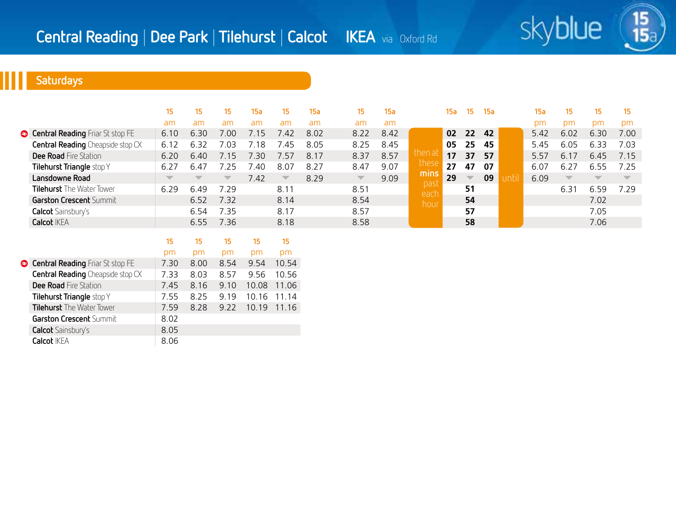

# **Saturdays**

|                                          |                          | 15                       | 15.                      | 15a  | 15.                     | <b>15a</b> | 15.                      | 15a  |             | 15a | 15                       | <b>15a</b> | 15а  | 15                       | 15                       | 15                       |
|------------------------------------------|--------------------------|--------------------------|--------------------------|------|-------------------------|------------|--------------------------|------|-------------|-----|--------------------------|------------|------|--------------------------|--------------------------|--------------------------|
|                                          | am                       | am                       | am                       | am   | am                      | am         | am                       | am   |             |     |                          |            | pm   | pm                       | pm                       | pm                       |
| Central Reading Friar St stop FE         | 6.10                     | 6.30                     | 7.00                     | 7.15 | 742                     | 8.02       | 8.22                     | 8.42 |             | 02  | 22                       | 42         | 5.42 | 6.02                     | 6.30                     | 7.00                     |
| <b>Central Reading</b> Cheapside stop CX | 6.12                     | 6.32                     | .03                      | 7.18 | 45                      | 8.05       | 8.25                     | 8.45 |             | 05  | 25                       | 45         | 5.45 | 6.05                     | 6.33                     | 7.03                     |
| <b>Dee Road</b> Fire Station             | 6.20                     | 6.40                     | 7.15                     | ה? ז | 7.57                    | 8.17       | 8.37                     | 8.57 | then a      | 17  | 37                       | 57         | 5.57 | 6.17                     | 6.45                     | 7.15                     |
| Tilehurst Triangle stop Y                | 6.27                     | 6.47                     | 7 25                     | 7.40 | 8.07                    | 8.27       | 8.47                     | 9.07 | these       | 27  | 47                       | 07         | 6.07 | 6.27                     | 6.55                     | 7 25                     |
| Lansdowne Road                           | $\overline{\phantom{a}}$ | $\overline{\phantom{a}}$ | $\overline{\phantom{a}}$ | 7.42 | $\overline{\mathbb{V}}$ | 8.29       | $\overline{\phantom{a}}$ | 9.09 | mins        | 29  | $\overline{\phantom{a}}$ | 09         | 6.09 | $\overline{\phantom{a}}$ | $\overline{\phantom{a}}$ | $\overline{\phantom{a}}$ |
| <b>Tilehurst</b> The Water Tower         | 6.29                     | 6.49                     | 7.29                     |      | 8.11                    |            | 8.51                     |      | pas<br>each |     | 51                       |            |      | 6.31                     | 6.59                     | 7 29                     |
| Garston Crescent Summit                  |                          | 6.52                     | 7.32                     |      | 8.14                    |            | 8.54                     |      | hou         |     | 54                       |            |      |                          | 7.02                     |                          |
| <b>Calcot</b> Sainsbury's                |                          | 6.54                     | 7.35                     |      | 8.17                    |            | 8.57                     |      |             |     | 57                       |            |      |                          | 7.05                     |                          |
| <b>Calcot IKEA</b>                       |                          | 6.55                     | 7.36                     |      | 8.18                    |            | 8.58                     |      |             |     | 58                       |            |      |                          | 7.06                     |                          |

|                                          | 15   | 15   | 15   | 15    | 15    |
|------------------------------------------|------|------|------|-------|-------|
|                                          | pm   | pm   | pm   | pm    | pm    |
| <b>Central Reading</b> Friar St stop FE  | 7.30 | 8.00 | 8.54 | 9.54  | 10.54 |
| <b>Central Reading</b> Cheapside stop CX | 7.33 | 8.03 | 8.57 | 9.56  | 10.56 |
| <b>Dee Road</b> Fire Station             | 7.45 | 8.16 | 9.10 | 10.08 | 11.06 |
| Tilehurst Triangle stop Y                | 7.55 | 8.25 | 9.19 | 10.16 | 11.14 |
| <b>Tilehurst</b> The Water Tower         | 7.59 | 8.28 | 9.22 | 10.19 | 11.16 |
| <b>Garston Crescent Summit</b>           | 8.02 |      |      |       |       |
| <b>Calcot</b> Sainsbury's                | 8.05 |      |      |       |       |
| <b>Calcot IKEA</b>                       | 8.06 |      |      |       |       |
|                                          |      |      |      |       |       |